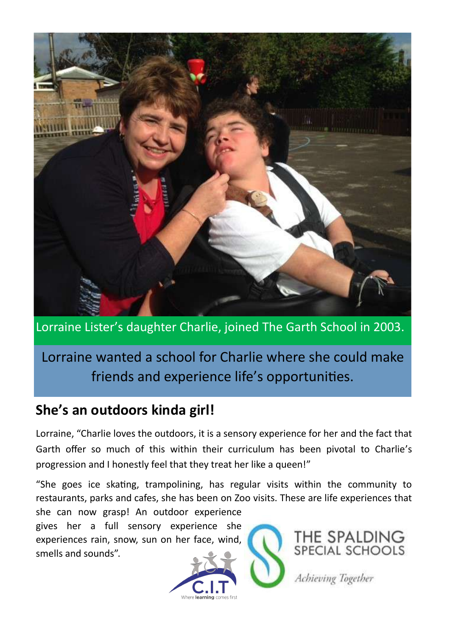

Lorraine Lister's daughter Charlie, joined The Garth School in 2003.

# Lorraine wanted a school for Charlie where she could make friends and experience life's opportunities.

## **She's an outdoors kinda girl!**

Lorraine, "Charlie loves the outdoors, it is a sensory experience for her and the fact that Garth offer so much of this within their curriculum has been pivotal to Charlie's progression and I honestly feel that they treat her like a queen!"

"She goes ice skating, trampolining, has regular visits within the community to restaurants, parks and cafes, she has been on Zoo visits. These are life experiences that she can now grasp! An outdoor experience

gives her a full sensory experience she experiences rain, snow, sun on her face, wind, smells and sounds".





Achieving Together